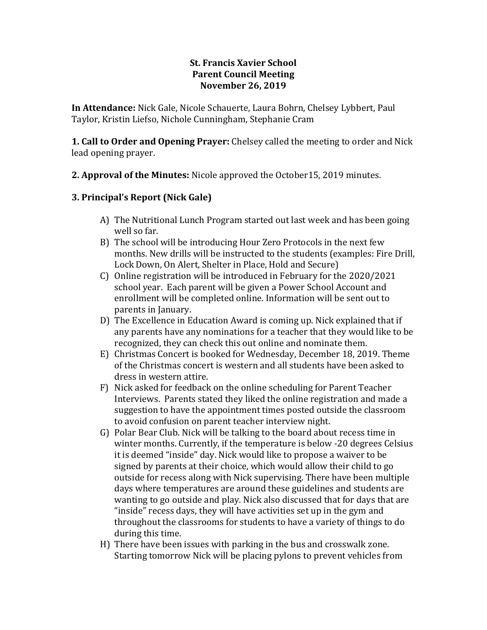### **St. Francis Xavier School Parent Council Meeting November 26, 2019**

**In Attendance:** Nick Gale, Nicole Schauerte, Laura Bohrn, Chelsey Lybbert, Paul Taylor, Kristin Liefso, Nichole Cunningham, Stephanie Cram

**1. Call to Order and Opening Prayer:** Chelsey called the meeting to order and Nick lead opening prayer.

**2. Approval of the Minutes:** Nicole approved the October15, 2019 minutes.

### **3. Principal's Report (Nick Gale)**

- A) The Nutritional Lunch Program started out last week and has been going well so far.
- B) The school will be introducing Hour Zero Protocols in the next few months. New drills will be instructed to the students (examples: Fire Drill, Lock Down, On Alert, Shelter in Place, Hold and Secure)
- C) Online registration will be introduced in February for the 2020/2021 school year. Each parent will be given a Power School Account and enrollment will be completed online. Information will be sent out to parents in January.
- D) The Excellence in Education Award is coming up. Nick explained that if any parents have any nominations for a teacher that they would like to be recognized, they can check this out online and nominate them.
- E) Christmas Concert is booked for Wednesday, December 18, 2019. Theme of the Christmas concert is western and all students have been asked to dress in western attire.
- F) Nick asked for feedback on the online scheduling for Parent Teacher Interviews. Parents stated they liked the online registration and made a suggestion to have the appointment times posted outside the classroom to avoid confusion on parent teacher interview night.
- G) Polar Bear Club. Nick will be talking to the board about recess time in winter months. Currently, if the temperature is below -20 degrees Celsius it is deemed "inside" day. Nick would like to propose a waiver to be signed by parents at their choice, which would allow their child to go outside for recess along with Nick supervising. There have been multiple days where temperatures are around these guidelines and students are wanting to go outside and play. Nick also discussed that for days that are "inside" recess days, they will have activities set up in the gym and throughout the classrooms for students to have a variety of things to do during this time.
- H) There have been issues with parking in the bus and crosswalk zone. Starting tomorrow Nick will be placing pylons to prevent vehicles from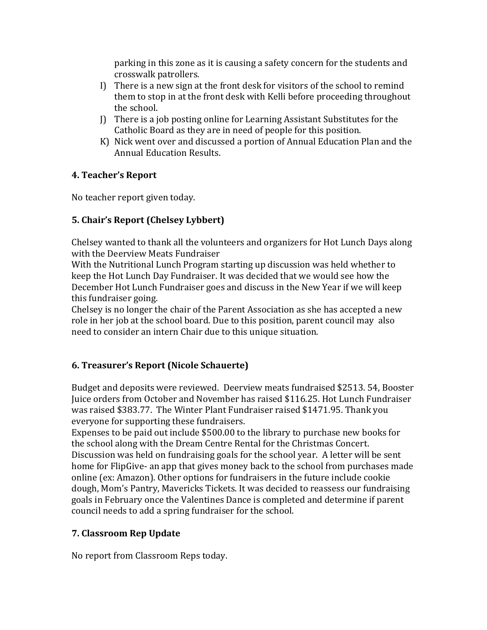parking in this zone as it is causing a safety concern for the students and crosswalk patrollers.

- I) There is a new sign at the front desk for visitors of the school to remind them to stop in at the front desk with Kelli before proceeding throughout the school.
- J) There is a job posting online for Learning Assistant Substitutes for the Catholic Board as they are in need of people for this position.
- K) Nick went over and discussed a portion of Annual Education Plan and the Annual Education Results.

## **4. Teacher's Report**

No teacher report given today.

# **5. Chair's Report (Chelsey Lybbert)**

Chelsey wanted to thank all the volunteers and organizers for Hot Lunch Days along with the Deerview Meats Fundraiser

With the Nutritional Lunch Program starting up discussion was held whether to keep the Hot Lunch Day Fundraiser. It was decided that we would see how the December Hot Lunch Fundraiser goes and discuss in the New Year if we will keep this fundraiser going.

Chelsey is no longer the chair of the Parent Association as she has accepted a new role in her job at the school board. Due to this position, parent council may also need to consider an intern Chair due to this unique situation.

## **6. Treasurer's Report (Nicole Schauerte)**

Budget and deposits were reviewed. Deerview meats fundraised \$2513. 54, Booster Juice orders from October and November has raised \$116.25. Hot Lunch Fundraiser was raised \$383.77. The Winter Plant Fundraiser raised \$1471.95. Thank you everyone for supporting these fundraisers.

Expenses to be paid out include \$500.00 to the library to purchase new books for the school along with the Dream Centre Rental for the Christmas Concert. Discussion was held on fundraising goals for the school year. A letter will be sent home for FlipGive- an app that gives money back to the school from purchases made online (ex: Amazon). Other options for fundraisers in the future include cookie dough, Mom's Pantry, Mavericks Tickets. It was decided to reassess our fundraising goals in February once the Valentines Dance is completed and determine if parent council needs to add a spring fundraiser for the school.

## **7. Classroom Rep Update**

No report from Classroom Reps today.